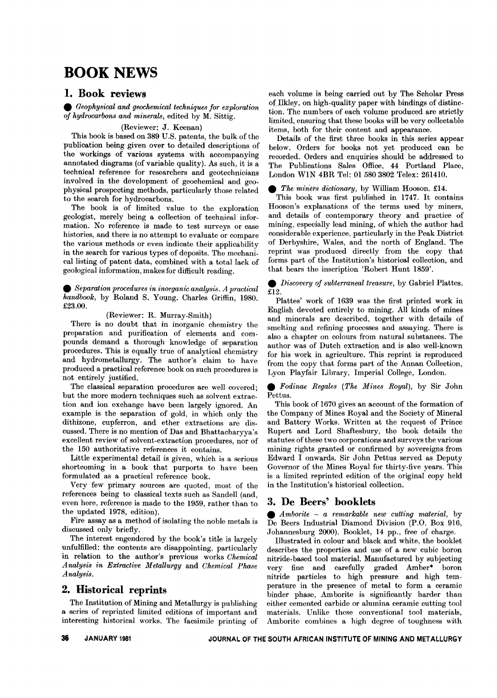# **BOOK NEWS**

## 1. Book reviews

. *Geophysical and geochemical techniques for exploration of hydrocarbons and minerals,* edited by M. Sittig.

#### (Reviewer: J. Keenan)

This book is based on 389 U.S. patents, the bulk of the publication being given over to detailed descriptions of the workings of various systems with accompanying annotated diagrams (of variable quality). As such, it is a technical reference for researchers and geotechnicians involved in the development of geochemical and geophysical prospecting methods, particularly those related to the search for hydrocarbons.

The book is of limited value to the exploration geologist, merely being a collection of technical information. No reference is made to test surveys or case histories, and there is no attempt to evaluate or compare the various methods or even indicate their applicability in the search for various types of deposits. The mechanicallisting of patent data, combined with a total lack of geological information, makes for difficult reading.

. *Separation procedures in inorganic analysis. <sup>A</sup> practical handbook,* by Roland S. Young. Charles Griffin, 1980. £23.00.

## (Reviewer: R. Murray-Smith)

There is no doubt that in inorganic chemistry the preparation and purification of elements and compounds demand a thorough knowledge of separation procedures. This is equally true of analytical chemistry and hydrometallurgy. The author's claim to have produced a practical reference book on such procedures is not entirely justified.

The classical separation procedures are well covered; but the more modern techniques such as solvent extraction and ion exchange have been largely ignored. An example is the separation of gold, in which only the dithizone, cupferron, and ether extractions are discussed. There is no mention of Das and Bhattacharyya's excellent review of solvent-extraction procedures, nor of the 150 authoritative references it contains.

Little experimental detail is given, which is a serious shortcoming in a book that purports to have been formulated as a practical reference book.

Very few primary sources are quoted, most of the references being to classical texts such as Sandell (and, even here, reference is made to the 1959, rather than to the updated 1978, edition).

Fire assay as a method of isolating the noble metals is discussed only briefly.

The interest engendered by the book's title is largely unfulfilled: the contents are disappointing, particularly in relation to the author's previous works *Chemical Analysis in Extractive Metallurgy* and *Chemical Phase Analysis.*

## 2. Historical reprints

The Institution of Mining and Metallurgy is publishing a series of reprinted limited editions of important and interesting historical works. The facsimile printing of

each volume is being carried out by The Scholar Press of Ilkley, on high-quality paper with bindings of distinction. The numbers of each volume produced are strictly limited, ensuring that these books will be very collectable items, both for their content and appearance.

Details of the first three books in this series appear below. Orders for books not yet produced can be recorded. Orders and enquiries should be addressed to The Publications Sales Office, 44 Portland Place, London W1N 4BR Tel: 01 580 3802 Telex: 261410<br>● *The miners dictionary*, by William Hooson. £14.<br>This book was first published in 1747. It con

This book was first published in 1747. It contains Hooson's explanations of the terms used by miners, and details of contemporary theory and practice of mining, especially lead mining, of which the author had considerable experience, particularly in the Peak District of Derbyshire, Wales, and the north of England. The reprint was produced directly from the copy that forms part of the Institution's historical collection, and that bears the inscription 'Robert Hunt 1859'.

. *Discovery of subterraneal treasure,* by Gabriel Plattes. £12.

Plattes' work of 1639 was the first printed work in English devoted entirely to mining. All kinds of mines and minerals are described, together with details of smelting and refining processes and assaying. There is also a chapter on colours from natural substances. The author was of Dutch extraction and is also well-known for his work in agriculture. This reprint is reproduced from the copy that forms part of the Annan Collection,

Lyon Playfair Library, Imperial College, London. . *Fodinae Regales (The Mines Royal),* by Sir John Pettus.

This book of 1670 gives an account of the formation of the Company of Mines Royal and the Society of Mineral and Battery Works. Written at the request of Prince Rupert and Lord Shaftesbury, the book details the statutes of these two corporations and surveys the various mining rights granted or confirmed by sovereigns from Edward I onwards. Sir John Pettus served as Deputy Governor of the Mines Royal for thirty-five years. This is a limited reprinted edition of the original copy held in the Institution's historical collection.

## 3. De Beers' booklets

. *Amborite* - *<sup>a</sup> remarkable new cutting material,* by De Beers Industrial Diamond Division (P.O. Box 916, Johannesburg 2000). Booklet, 14 pp., free of charge.

Illustrated in colour and black and white, the booklet describes the properties and use of a new cubic boron nitride-based tool material. Manufactured by subjecting very fine and carefully graded Amber\* boron nitride particles to high pressure and high temperature in the presence of metal to form a ceramic binder phase, Amborite is significantly harder than either cemented carbide or alumina ceramic cutting tool materials. Unlike these conventional tool materials, Amborite combines a high degree of toughness with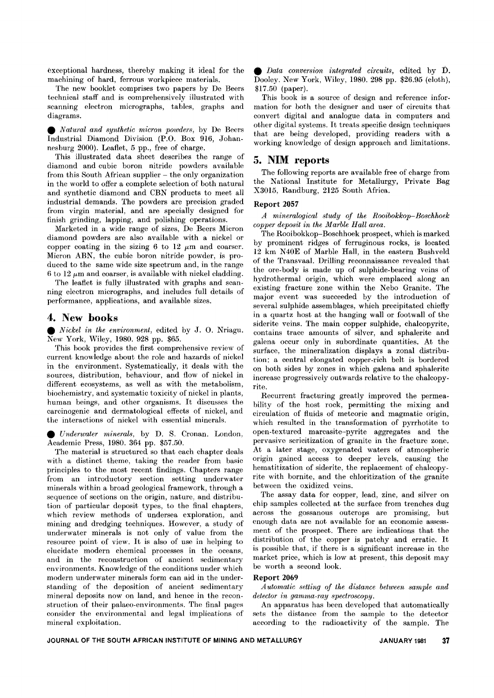exccptional hardness, thereby making it ideal for the machining of hard, ferrous workpiece materials.

The new booklet comprises two papers by De Beers technical staff and is comprehensively illustrated with scanning electron micrographs, tables, graphs and diagrams.

. *Natural and synthetic micron powders,* by De Becrs Industrial Diamond Division (P.O. Box 916, Johannesburg 2000). Leaflet, 5 pp., free of charge.

This illustrated data sheet describes the range of diamond and cubic boron nitride powders available  ${\rm from\ this\ South\ African\ supplier-the\ only\ organization}$ in the world to offer a complete selection of both natural and synthetic diamond and CBN products to meet all industrial demands. The powders are precision graded from virgin material, and are specially designed for finish grinding, lapping, and polishing operations.

Marketed in a wide range of sizes, De Beers Micron diamond powders are also available with a nickel or copper coating in the sizing 6 to 12  $\mu$ m and coarser. Micron ABN, the cubic boron nitride powder, is produced to the same wide size spectrum and, in the range 6 to 12  $\mu$ m and coarser, is available with nickel cladding.

The leaflet is fully illustrated with graphs and scanning electron micrographs, and includes full details of performance, applications, and available sizes.

## **4. New books**

. *Nickel in the environment,* edited by J. O. Nriagu. New York, Wiley, 1980.928 pp. \$65.

This book provides the first comprehensive review of current knowledge about the role and hazards of nickel in the environment. Systematically, it deals with the sources, distribution, behaviour, and flow of nickel in different ecosystems, as well as with the metabolism, biochemistry, and systematic toxicity of nickel in plants, human beings, and other organisms. It discusses the carcinogenic and dermatological effects of nickel, and

the interactions of nickel with essential minerals.<br>● *Underwater minerals*, by D. S. Cronan. London, Academic Press. 1980. 364 pp. \$57.50. Academic Press, 1980. 364 pp. \$57.50.

The material is structured so that each chapter deals with a distinct theme, taking the reader from basic principles to the most recent findings. Chapters range from an introductory section setting underwater minerals within a broad geological framework, through a sequence of sections on the origin, nature, and distribution of particular deposit types, to the final chapters, which review methods of undersea exploration, and mining and dredging techniques. However, a study of underwater minerals is not only of value from the resource point of view. It is also of use in helping to elucidate modern chemical processes in the oceans, and in the reconstruction of ancient sedimentary environments. Knowledge of the conditions under which modern underwater minerals form can aid in the understanding of the deposition of ancient sedimentary mineral deposits now on land, and hence in the reconstruction of their palaeo-environments. The final pages consider the environmental and legal implieations of mineral exploitation.

. *Data conversion integrated circuits,* edited by D. Dooley. New York, Wiley, 1980.298 pp. \$26.95 (cloth), \$17.50 (paper).

This book is a source of design and reference information for both the designer and user of circuits that convert digital and analogue data in computers and other digital systems. It treats specific design techniques that are being developed, providing readers with a working knowledge of design approach and limitations.

## **5. NIM reports**

The following reports are available free of charge from the National Institute for Metallurgy, Private Bag X3015, Randburg, 2125 South Africa.

## **Report 2057**

*A mineralogical study of the Rooibokkop- Boschhoek copper deposit in the Marble Hall area.*

The Rooibokkop-Boschhoek prospect, which is marked by prominent ridges of ferruginous rocks, is located 12 km N40E of Marble Hall, in the eastern Bushveld of the Transvaal. Drilling reconnaissance revealed that the ore-body is made up of sulphide-bearing veins of hydrothermal origin, which were emplaced along an existing fracture zone within the Nebo Granite. The major event was succeeded by the introduction of several sulphide assemblages, which precipitated chiefly in a quartz host at the hanging wall or footwall of the siderite veins. The main copper sulphide, chalcopyrite, contains trace amounts of silver, and sphalerite and galena occur only in subordinate quantities. At the surface, the mineralization displays a zonal distribution: a central elongated copper-rich belt is bordered on both sides by zones in which galena and sphalerite increase progressively outwards relative to the chalcopyrite.

Recurrent fracturing greatly improved the permeability of the host rock, permitting the mixing and circulation of fluids of meteoric and magmatic origin, which resulted in the transformation of pyrrhotite to open-textured marcasite-pyrite aggregates and the pervasive sericitization of granite in the fracture zone. At a later stage, oxygenated waters of atmospheric origin gained access to deeper levels, causing the hematitization of siderite, the replacement of chalcopyrite with bornite, and the chloritization of the granite between the oxidized veins.

The assay data for copper, lead, zinc, and silver on chip samples collected at the surface from trenches dug across the gossanous outcrops are promising, but enough data are not available for an economic assessment of the prospect. There are indications that the distribution of the copper is patchy and erratic. It is possible that, if there is a significant increase in the market price, which is low at present, this deposit may be worth a second look.

#### **Report 2069**

*A utomatic setting of the distance between sample and detector in gamma-ray spectroscopy.*

An apparatus has been developed that automatically sets the distance from the sample to the detector according to the radioactivity of the sample. The